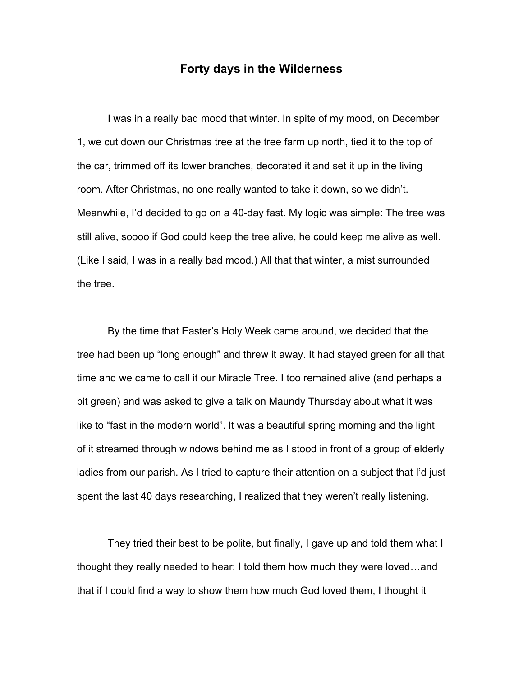## **Forty days in the Wilderness**

I was in a really bad mood that winter. In spite of my mood, on December 1, we cut down our Christmas tree at the tree farm up north, tied it to the top of the car, trimmed off its lower branches, decorated it and set it up in the living room. After Christmas, no one really wanted to take it down, so we didn't. Meanwhile, I'd decided to go on a 40-day fast. My logic was simple: The tree was still alive, soooo if God could keep the tree alive, he could keep me alive as well. (Like I said, I was in a really bad mood.) All that that winter, a mist surrounded the tree.

By the time that Easter's Holy Week came around, we decided that the tree had been up "long enough" and threw it away. It had stayed green for all that time and we came to call it our Miracle Tree. I too remained alive (and perhaps a bit green) and was asked to give a talk on Maundy Thursday about what it was like to "fast in the modern world". It was a beautiful spring morning and the light of it streamed through windows behind me as I stood in front of a group of elderly ladies from our parish. As I tried to capture their attention on a subject that I'd just spent the last 40 days researching, I realized that they weren't really listening.

They tried their best to be polite, but finally, I gave up and told them what I thought they really needed to hear: I told them how much they were loved…and that if I could find a way to show them how much God loved them, I thought it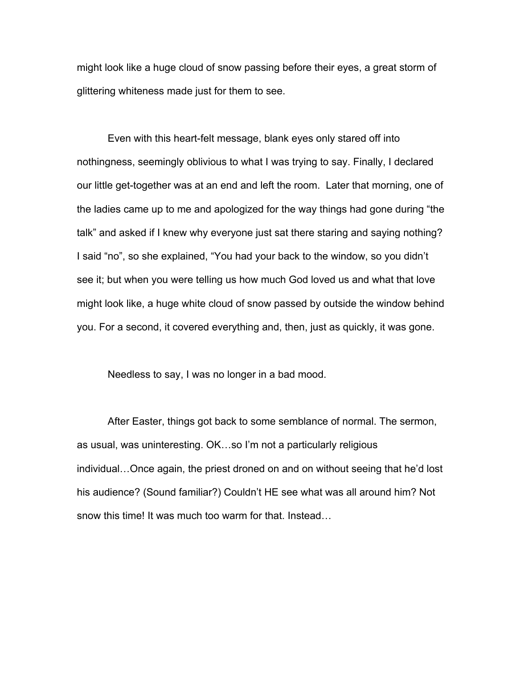might look like a huge cloud of snow passing before their eyes, a great storm of glittering whiteness made just for them to see.

Even with this heart-felt message, blank eyes only stared off into nothingness, seemingly oblivious to what I was trying to say. Finally, I declared our little get-together was at an end and left the room. Later that morning, one of the ladies came up to me and apologized for the way things had gone during "the talk" and asked if I knew why everyone just sat there staring and saying nothing? I said "no", so she explained, "You had your back to the window, so you didn't see it; but when you were telling us how much God loved us and what that love might look like, a huge white cloud of snow passed by outside the window behind you. For a second, it covered everything and, then, just as quickly, it was gone.

Needless to say, I was no longer in a bad mood.

After Easter, things got back to some semblance of normal. The sermon, as usual, was uninteresting. OK…so I'm not a particularly religious individual…Once again, the priest droned on and on without seeing that he'd lost his audience? (Sound familiar?) Couldn't HE see what was all around him? Not snow this time! It was much too warm for that. Instead…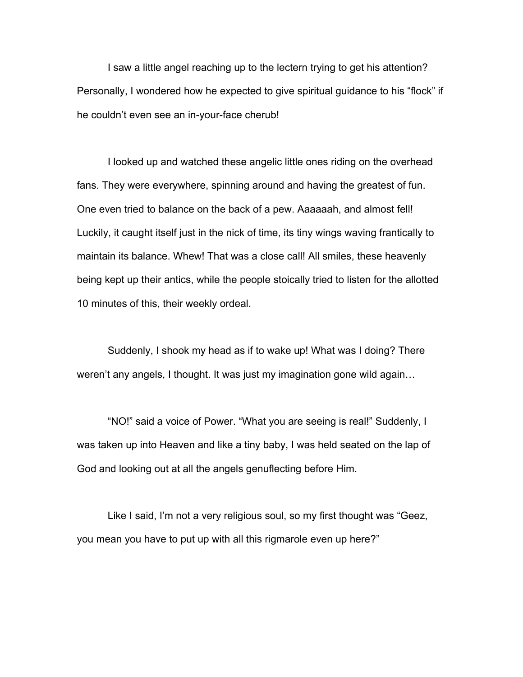I saw a little angel reaching up to the lectern trying to get his attention? Personally, I wondered how he expected to give spiritual guidance to his "flock" if he couldn't even see an in-your-face cherub!

I looked up and watched these angelic little ones riding on the overhead fans. They were everywhere, spinning around and having the greatest of fun. One even tried to balance on the back of a pew. Aaaaaah, and almost fell! Luckily, it caught itself just in the nick of time, its tiny wings waving frantically to maintain its balance. Whew! That was a close call! All smiles, these heavenly being kept up their antics, while the people stoically tried to listen for the allotted 10 minutes of this, their weekly ordeal.

Suddenly, I shook my head as if to wake up! What was I doing? There weren't any angels, I thought. It was just my imagination gone wild again…

"NO!" said a voice of Power. "What you are seeing is real!" Suddenly, I was taken up into Heaven and like a tiny baby, I was held seated on the lap of God and looking out at all the angels genuflecting before Him.

Like I said, I'm not a very religious soul, so my first thought was "Geez, you mean you have to put up with all this rigmarole even up here?"